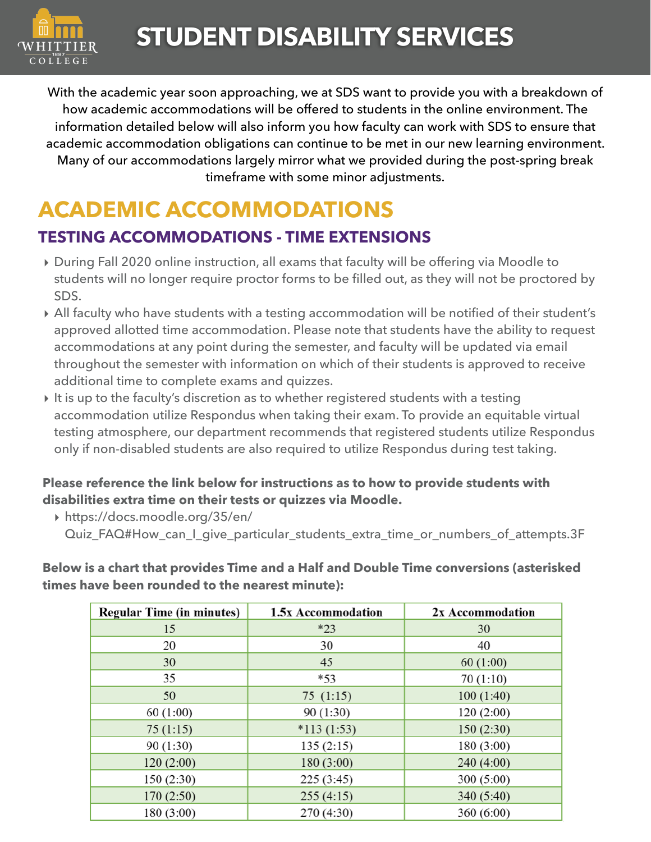

With the academic year soon approaching, we at SDS want to provide you with a breakdown of how academic accommodations will be offered to students in the online environment. The information detailed below will also inform you how faculty can work with SDS to ensure that academic accommodation obligations can continue to be met in our new learning environment. Many of our accommodations largely mirror what we provided during the post-spring break timeframe with some minor adjustments.

# **ACADEMIC ACCOMMODATIONS**

## **TESTING ACCOMMODATIONS - TIME EXTENSIONS**

- **‣** During Fall 2020 online instruction, all exams that faculty will be offering via Moodle to students will no longer require proctor forms to be filled out, as they will not be proctored by SDS.
- **‣** All faculty who have students with a testing accommodation will be notified of their student's approved allotted time accommodation. Please note that students have the ability to request accommodations at any point during the semester, and faculty will be updated via email throughout the semester with information on which of their students is approved to receive additional time to complete exams and quizzes.
- **‣** It is up to the faculty's discretion as to whether registered students with a testing accommodation utilize Respondus when taking their exam. To provide an equitable virtual testing atmosphere, our department recommends that registered students utilize Respondus only if non-disabled students are also required to utilize Respondus during test taking.

#### **Please reference the link below for instructions as to how to provide students with disabilities extra time on their tests or quizzes via Moodle.**

**‣** [https://docs.moodle.org/35/en/](https://docs.moodle.org/35/en/Quiz_FAQ#How_can_I_give_particular_students_extra_time_or_numbers_of_attempts.3F) [Quiz\\_FAQ#How\\_can\\_I\\_give\\_particular\\_students\\_extra\\_time\\_or\\_numbers\\_of\\_attempts.3F](https://docs.moodle.org/35/en/Quiz_FAQ#How_can_I_give_particular_students_extra_time_or_numbers_of_attempts.3F)

**Below is a chart that provides Time and a Half and Double Time conversions (asterisked times have been rounded to the nearest minute):** 

| <b>Regular Time (in minutes)</b> | 1.5x Accommodation | 2x Accommodation |
|----------------------------------|--------------------|------------------|
| 15                               | $*23$              | 30               |
| 20                               | 30                 | 40               |
| 30                               | 45                 | 60(1:00)         |
| 35                               | $*53$              | 70(1:10)         |
| 50                               | 75(1:15)           | 100(1:40)        |
| 60(1:00)                         | 90(1:30)           | 120(2:00)        |
| 75(1:15)                         | $*113(1:53)$       | 150(2:30)        |
| 90 (1:30)                        | 135(2:15)          | 180(3:00)        |
| 120(2:00)                        | 180(3:00)          | 240(4:00)        |
| 150(2:30)                        | 225(3:45)          | 300(5:00)        |
| 170(2:50)                        | 255(4:15)          | 340 (5:40)       |
| 180(3:00)                        | 270 (4:30)         | 360(6:00)        |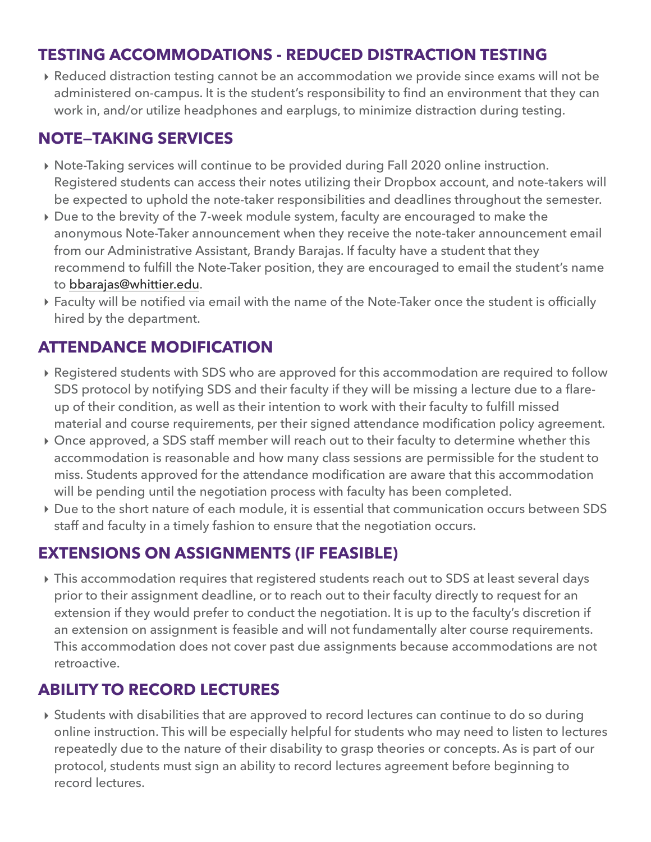## **TESTING ACCOMMODATIONS - REDUCED DISTRACTION TESTING**

**‣** Reduced distraction testing cannot be an accommodation we provide since exams will not be administered on-campus. It is the student's responsibility to find an environment that they can work in, and/or utilize headphones and earplugs, to minimize distraction during testing.

### **NOTE—TAKING SERVICES**

- **‣** Note-Taking services will continue to be provided during Fall 2020 online instruction. Registered students can access their notes utilizing their Dropbox account, and note-takers will be expected to uphold the note-taker responsibilities and deadlines throughout the semester.
- **‣** Due to the brevity of the 7-week module system, faculty are encouraged to make the anonymous Note-Taker announcement when they receive the note-taker announcement email from our Administrative Assistant, Brandy Barajas. If faculty have a student that they recommend to fulfill the Note-Taker position, they are encouraged to email the student's name to [bbarajas@whittier.edu.](mailto:bbarajas@whittier.edu)
- **‣** Faculty will be notified via email with the name of the Note-Taker once the student is officially hired by the department.

## **ATTENDANCE MODIFICATION**

- **‣** Registered students with SDS who are approved for this accommodation are required to follow SDS protocol by notifying SDS and their faculty if they will be missing a lecture due to a flareup of their condition, as well as their intention to work with their faculty to fulfill missed material and course requirements, per their signed attendance modification policy agreement.
- **‣** Once approved, a SDS staff member will reach out to their faculty to determine whether this accommodation is reasonable and how many class sessions are permissible for the student to miss. Students approved for the attendance modification are aware that this accommodation will be pending until the negotiation process with faculty has been completed.
- **‣** Due to the short nature of each module, it is essential that communication occurs between SDS staff and faculty in a timely fashion to ensure that the negotiation occurs.

## **EXTENSIONS ON ASSIGNMENTS (IF FEASIBLE)**

**‣** This accommodation requires that registered students reach out to SDS at least several days prior to their assignment deadline, or to reach out to their faculty directly to request for an extension if they would prefer to conduct the negotiation. It is up to the faculty's discretion if an extension on assignment is feasible and will not fundamentally alter course requirements. This accommodation does not cover past due assignments because accommodations are not retroactive.

## **ABILITY TO RECORD LECTURES**

**‣** Students with disabilities that are approved to record lectures can continue to do so during online instruction. This will be especially helpful for students who may need to listen to lectures repeatedly due to the nature of their disability to grasp theories or concepts. As is part of our protocol, students must sign an ability to record lectures agreement before beginning to record lectures.